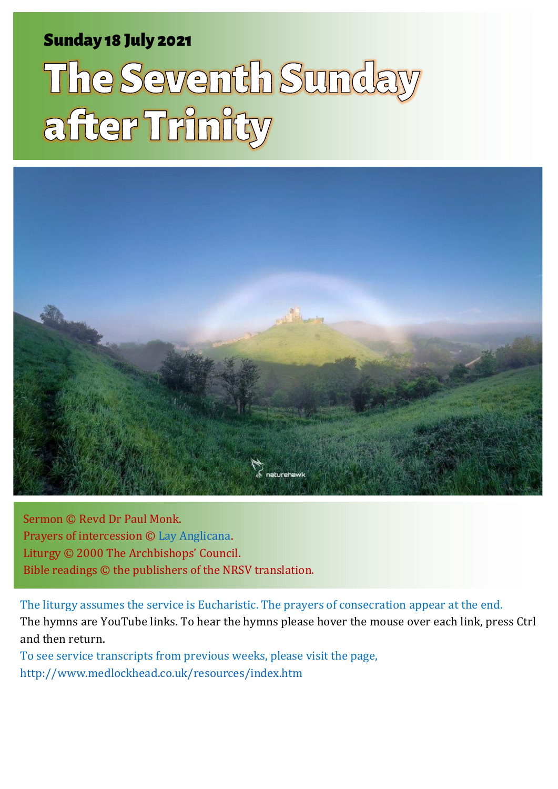#### Sunday 18 July 2021 1 The Seventh Sunday 18 July 2021 1 The Seventh Sunday after Trinity and Sunday 1

# The Seventh Sunday after Trinity



Sermon © Revd Dr Paul Monk. Prayers of intercession © [Lay Anglicana.](http://www.layanglicana.org/blog/2015/07/14/intercessions-for-trinity-7-proper-11-year-b-19-july-2015/) Liturgy © 2000 The Archbishops' Council. Bible readings © the publishers of the NRSV translation.

The liturgy assumes the service is Eucharistic. The prayers of consecration appear at the end. The hymns are YouTube links. To hear the hymns please hover the mouse over each link, press Ctrl and then return.

To see service transcripts from previous weeks, please visit the page, <http://www.medlockhead.co.uk/resources/index.htm>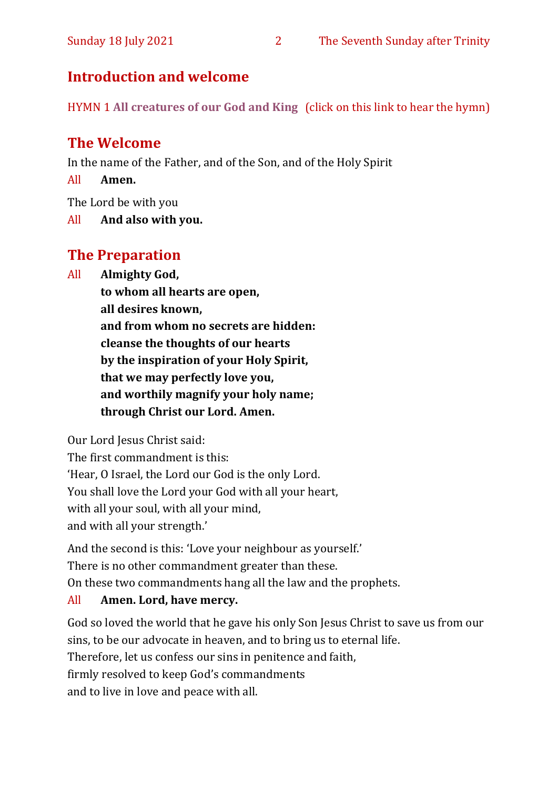#### **Introduction and welcome**

HYMN 1 **[All creatures of our God and King](https://www.youtube.com/watch?v=8CS-oOC_AAY)** (click on this link to hear the hymn)

#### **The Welcome**

In the name of the Father, and of the Son, and of the Holy Spirit

All **Amen.**

The Lord be with you

All **And also with you.**

#### **The Preparation**

All **Almighty God,**

**to whom all hearts are open, all desires known, and from whom no secrets are hidden: cleanse the thoughts of our hearts by the inspiration of your Holy Spirit, that we may perfectly love you, and worthily magnify your holy name; through Christ our Lord. Amen.**

Our Lord Jesus Christ said:

The first commandment is this: 'Hear, O Israel, the Lord our God is the only Lord. You shall love the Lord your God with all your heart, with all your soul, with all your mind, and with all your strength.'

And the second is this: 'Love your neighbour as yourself.' There is no other commandment greater than these. On these two commandments hang all the law and the prophets.

#### All **Amen. Lord, have mercy.**

God so loved the world that he gave his only Son Jesus Christ to save us from our sins, to be our advocate in heaven, and to bring us to eternal life. Therefore, let us confess our sins in penitence and faith, firmly resolved to keep God's commandments and to live in love and peace with all.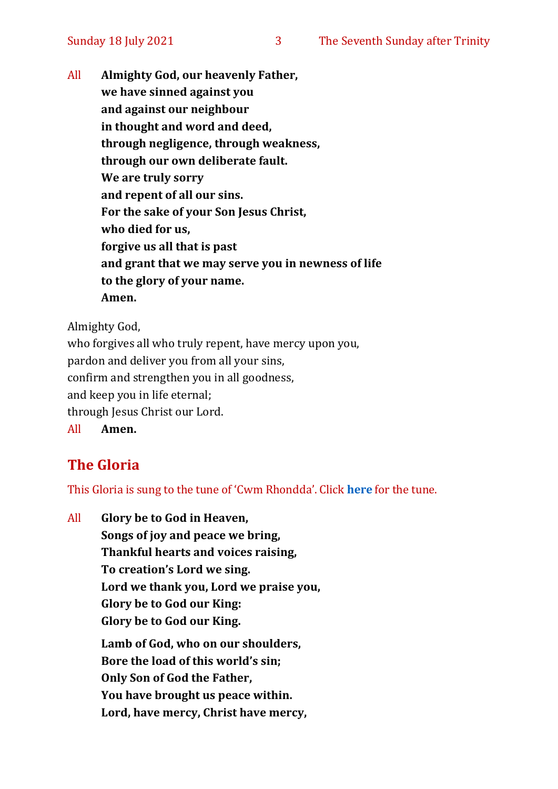All **Almighty God, our heavenly Father, we have sinned against you and against our neighbour in thought and word and deed, through negligence, through weakness, through our own deliberate fault. We are truly sorry and repent of all our sins. For the sake of your Son Jesus Christ, who died for us, forgive us all that is past and grant that we may serve you in newness of life to the glory of your name. Amen.**

Almighty God,

who forgives all who truly repent, have mercy upon you, pardon and deliver you from all your sins, confirm and strengthen you in all goodness, and keep you in life eternal; through Jesus Christ our Lord. All **Amen.**

#### **The Gloria**

This Gloria is sung to the tune of 'Cwm Rhondda'. Click **[here](about:blank)** for the tune.

All **Glory be to God in Heaven, Songs of joy and peace we bring, Thankful hearts and voices raising, To creation's Lord we sing. Lord we thank you, Lord we praise you, Glory be to God our King: Glory be to God our King. Lamb of God, who on our shoulders, Bore the load of this world's sin; Only Son of God the Father, You have brought us peace within. Lord, have mercy, Christ have mercy,**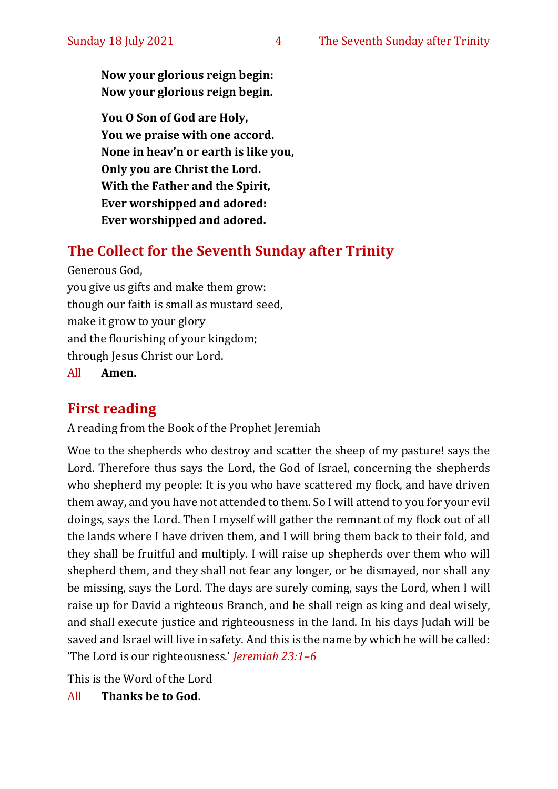**Now your glorious reign begin: Now your glorious reign begin.**

**You O Son of God are Holy, You we praise with one accord. None in heav'n or earth is like you, Only you are Christ the Lord. With the Father and the Spirit, Ever worshipped and adored: Ever worshipped and adored.**

#### **The Collect for the Seventh Sunday after Trinity**

Generous God, you give us gifts and make them grow: though our faith is small as mustard seed, make it grow to your glory and the flourishing of your kingdom; through Jesus Christ our Lord.

All **Amen.**

#### **First reading**

A reading from the Book of the Prophet Jeremiah

Woe to the shepherds who destroy and scatter the sheep of my pasture! says the Lord. Therefore thus says the Lord, the God of Israel, concerning the shepherds who shepherd my people: It is you who have scattered my flock, and have driven them away, and you have not attended to them. So I will attend to you for your evil doings, says the Lord. Then I myself will gather the remnant of my flock out of all the lands where I have driven them, and I will bring them back to their fold, and they shall be fruitful and multiply. I will raise up shepherds over them who will shepherd them, and they shall not fear any longer, or be dismayed, nor shall any be missing, says the Lord. The days are surely coming, says the Lord, when I will raise up for David a righteous Branch, and he shall reign as king and deal wisely, and shall execute justice and righteousness in the land. In his days Judah will be saved and Israel will live in safety. And this is the name by which he will be called: 'The Lord is our righteousness.' *Jeremiah 23:1–6*

This is the Word of the Lord

All **Thanks be to God.**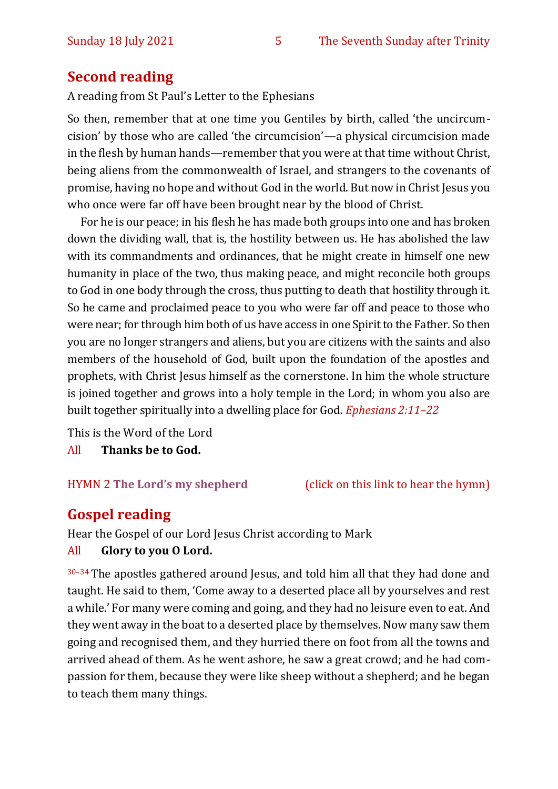#### **Second reading**

A reading from St Paul's Letter to the Ephesians

So then, remember that at one time you Gentiles by birth, called 'the uncircumcision' by those who are called 'the circumcision'—a physical circumcision made in the flesh by human hands—remember that you were at that time without Christ, being aliens from the commonwealth of Israel, and strangers to the covenants of promise, having no hope and without God in the world. But now in Christ Jesus you who once were far off have been brought near by the blood of Christ.

For he is our peace; in his flesh he has made both groups into one and has broken down the dividing wall, that is, the hostility between us. He has abolished the law with its commandments and ordinances, that he might create in himself one new humanity in place of the two, thus making peace, and might reconcile both groups to God in one body through the cross, thus putting to death that hostility through it. So he came and proclaimed peace to you who were far off and peace to those who were near; for through him both of us have access in one Spirit to the Father. So then you are no longer strangers and aliens, but you are citizens with the saints and also members of the household of God, built upon the foundation of the apostles and prophets, with Christ Jesus himself as the cornerstone. In him the whole structure is joined together and grows into a holy temple in the Lord; in whom you also are built together spiritually into a dwelling place for God. *Ephesians 2:11–22*

This is the Word of the Lord

All **Thanks be to God.**

#### HYMN 2 **[The Lord's my shepherd](https://www.youtube.com/watch?v=-eIQQayhpak)** (click on this link to hear the hymn)

### **Gospel reading**

Hear the Gospel of our Lord Jesus Christ according to Mark

#### All **Glory to you O Lord.**

 $30-34$  The apostles gathered around Jesus, and told him all that they had done and taught. He said to them, 'Come away to a deserted place all by yourselves and rest a while.' For many were coming and going, and they had no leisure even to eat. And they went away in the boat to a deserted place by themselves. Now many saw them going and recognised them, and they hurried there on foot from all the towns and arrived ahead of them. As he went ashore, he saw a great crowd; and he had compassion for them, because they were like sheep without a shepherd; and he began to teach them many things.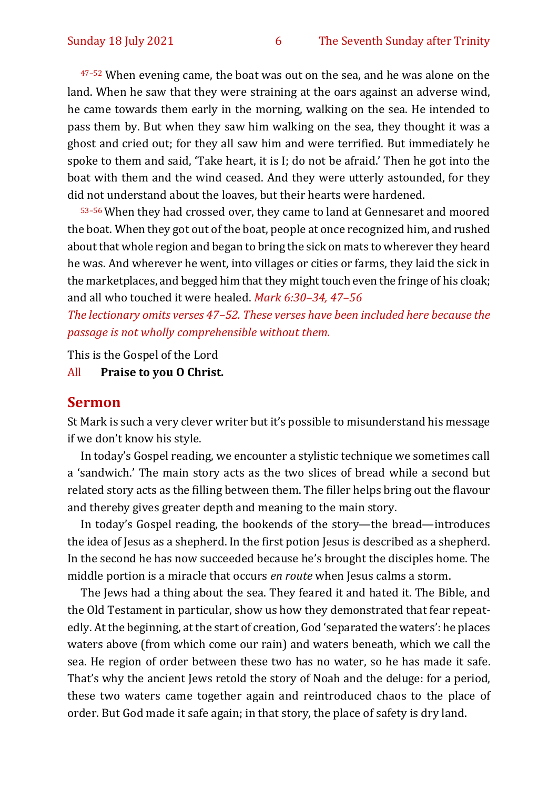<sup>47-52</sup> When evening came, the boat was out on the sea, and he was alone on the land. When he saw that they were straining at the oars against an adverse wind, he came towards them early in the morning, walking on the sea. He intended to pass them by. But when they saw him walking on the sea, they thought it was a ghost and cried out; for they all saw him and were terrified. But immediately he spoke to them and said, 'Take heart, it is I; do not be afraid.' Then he got into the boat with them and the wind ceased. And they were utterly astounded, for they did not understand about the loaves, but their hearts were hardened.

<sup>53</sup>–56 When they had crossed over, they came to land at Gennesaret and moored the boat. When they got out of the boat, people at once recognized him, and rushed about that whole region and began to bring the sick on mats to wherever they heard he was. And wherever he went, into villages or cities or farms, they laid the sick in the marketplaces, and begged him that they might touch even the fringe of his cloak; and all who touched it were healed. *Mark 6:30–34, 47–56*

*The lectionary omits verses 47–52. These verses have been included here because the passage is not wholly comprehensible without them.* 

This is the Gospel of the Lord

All **Praise to you O Christ.** 

#### **Sermon**

St Mark is such a very clever writer but it's possible to misunderstand his message if we don't know his style.

In today's Gospel reading, we encounter a stylistic technique we sometimes call a 'sandwich.' The main story acts as the two slices of bread while a second but related story acts as the filling between them. The filler helps bring out the flavour and thereby gives greater depth and meaning to the main story.

In today's Gospel reading, the bookends of the story—the bread—introduces the idea of Jesus as a shepherd. In the first potion Jesus is described as a shepherd. In the second he has now succeeded because he's brought the disciples home. The middle portion is a miracle that occurs *en route* when Jesus calms a storm.

The Jews had a thing about the sea. They feared it and hated it. The Bible, and the Old Testament in particular, show us how they demonstrated that fear repeatedly. At the beginning, at the start of creation, God 'separated the waters': he places waters above (from which come our rain) and waters beneath, which we call the sea. He region of order between these two has no water, so he has made it safe. That's why the ancient Jews retold the story of Noah and the deluge: for a period, these two waters came together again and reintroduced chaos to the place of order. But God made it safe again; in that story, the place of safety is dry land.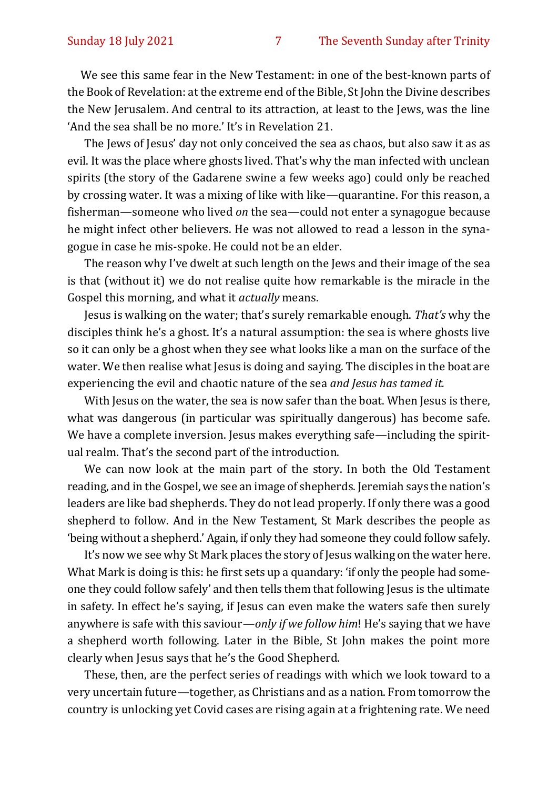We see this same fear in the New Testament: in one of the best-known parts of the Book of Revelation: at the extreme end of the Bible, St John the Divine describes the New Jerusalem. And central to its attraction, at least to the Jews, was the line 'And the sea shall be no more.' It's in Revelation 21.

The Jews of Jesus' day not only conceived the sea as chaos, but also saw it as as evil. It was the place where ghosts lived. That's why the man infected with unclean spirits (the story of the Gadarene swine a few weeks ago) could only be reached by crossing water. It was a mixing of like with like—quarantine. For this reason, a fisherman—someone who lived *on* the sea—could not enter a synagogue because he might infect other believers. He was not allowed to read a lesson in the synagogue in case he mis-spoke. He could not be an elder.

The reason why I've dwelt at such length on the Jews and their image of the sea is that (without it) we do not realise quite how remarkable is the miracle in the Gospel this morning, and what it *actually* means.

Jesus is walking on the water; that's surely remarkable enough. *That's* why the disciples think he's a ghost. It's a natural assumption: the sea is where ghosts live so it can only be a ghost when they see what looks like a man on the surface of the water. We then realise what Jesus is doing and saying. The disciples in the boat are experiencing the evil and chaotic nature of the sea *and Jesus has tamed it.*

With Jesus on the water, the sea is now safer than the boat. When Jesus is there, what was dangerous (in particular was spiritually dangerous) has become safe. We have a complete inversion. Jesus makes everything safe—including the spiritual realm. That's the second part of the introduction.

We can now look at the main part of the story. In both the Old Testament reading, and in the Gospel, we see an image of shepherds. Jeremiah says the nation's leaders are like bad shepherds. They do not lead properly. If only there was a good shepherd to follow. And in the New Testament, St Mark describes the people as 'being without a shepherd.' Again, if only they had someone they could follow safely.

It's now we see why St Mark places the story of Jesus walking on the water here. What Mark is doing is this: he first sets up a quandary: 'if only the people had someone they could follow safely' and then tells them that following Jesus is the ultimate in safety. In effect he's saying, if Jesus can even make the waters safe then surely anywhere is safe with this saviour*—only if we follow him*! He's saying that we have a shepherd worth following. Later in the Bible, St John makes the point more clearly when Jesus says that he's the Good Shepherd.

These, then, are the perfect series of readings with which we look toward to a very uncertain future—together, as Christians and as a nation. From tomorrow the country is unlocking yet Covid cases are rising again at a frightening rate. We need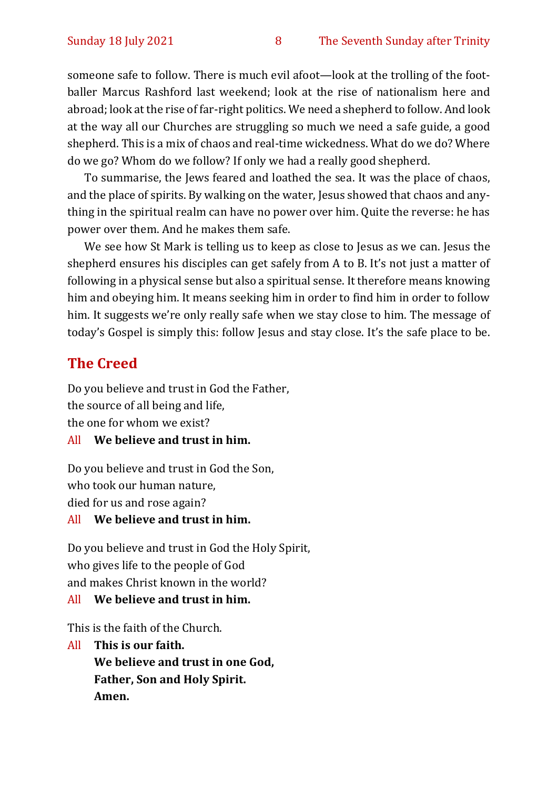someone safe to follow. There is much evil afoot—look at the trolling of the footballer Marcus Rashford last weekend; look at the rise of nationalism here and abroad; look at the rise of far-right politics. We need a shepherd to follow. And look at the way all our Churches are struggling so much we need a safe guide, a good shepherd. This is a mix of chaos and real-time wickedness. What do we do? Where do we go? Whom do we follow? If only we had a really good shepherd.

To summarise, the Jews feared and loathed the sea. It was the place of chaos, and the place of spirits. By walking on the water, Jesus showed that chaos and anything in the spiritual realm can have no power over him. Quite the reverse: he has power over them. And he makes them safe.

We see how St Mark is telling us to keep as close to Jesus as we can. Jesus the shepherd ensures his disciples can get safely from A to B. It's not just a matter of following in a physical sense but also a spiritual sense. It therefore means knowing him and obeying him. It means seeking him in order to find him in order to follow him. It suggests we're only really safe when we stay close to him. The message of today's Gospel is simply this: follow Jesus and stay close. It's the safe place to be.

#### **The Creed**

Do you believe and trust in God the Father, the source of all being and life, the one for whom we exist?

#### All **We believe and trust in him.**

Do you believe and trust in God the Son, who took our human nature, died for us and rose again?

#### All **We believe and trust in him.**

Do you believe and trust in God the Holy Spirit, who gives life to the people of God and makes Christ known in the world?

#### All **We believe and trust in him.**

This is the faith of the Church.

All **This is our faith. We believe and trust in one God, Father, Son and Holy Spirit. Amen.**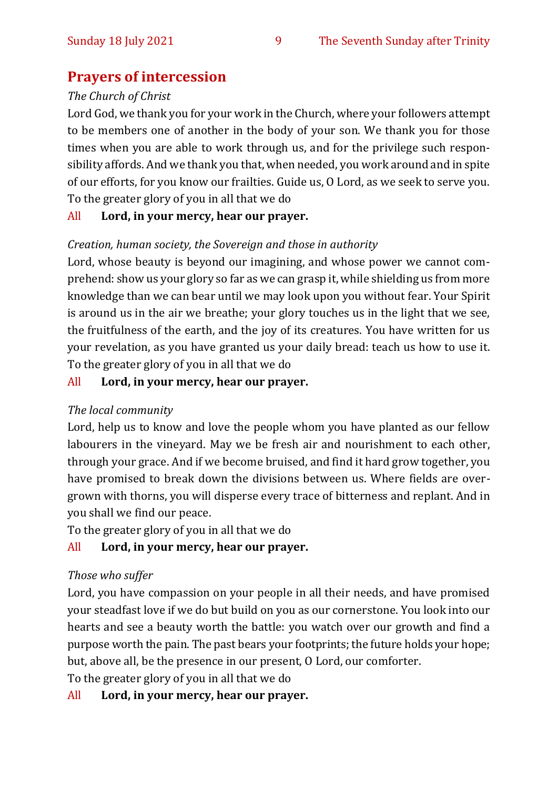#### **Prayers of intercession**

#### *The Church of Christ*

Lord God, we thank you for your work in the Church, where your followers attempt to be members one of another in the body of your son. We thank you for those times when you are able to work through us, and for the privilege such responsibility affords. And we thank you that, when needed, you work around and in spite of our efforts, for you know our frailties. Guide us, O Lord, as we seek to serve you. To the greater glory of you in all that we do

#### All **Lord, in your mercy, hear our prayer.**

#### *Creation, human society, the Sovereign and those in authority*

Lord, whose beauty is beyond our imagining, and whose power we cannot comprehend: show us your glory so far as we can grasp it, while shielding us from more knowledge than we can bear until we may look upon you without fear. Your Spirit is around us in the air we breathe; your glory touches us in the light that we see, the fruitfulness of the earth, and the joy of its creatures. You have written for us your revelation, as you have granted us your daily bread: teach us how to use it. To the greater glory of you in all that we do

#### All **Lord, in your mercy, hear our prayer.**

#### *The local community*

Lord, help us to know and love the people whom you have planted as our fellow labourers in the vineyard. May we be fresh air and nourishment to each other, through your grace. And if we become bruised, and find it hard grow together, you have promised to break down the divisions between us. Where fields are overgrown with thorns, you will disperse every trace of bitterness and replant. And in you shall we find our peace.

To the greater glory of you in all that we do

#### All **Lord, in your mercy, hear our prayer.**

#### *Those who suffer*

Lord, you have compassion on your people in all their needs, and have promised your steadfast love if we do but build on you as our cornerstone. You look into our hearts and see a beauty worth the battle: you watch over our growth and find a purpose worth the pain. The past bears your footprints; the future holds your hope; but, above all, be the presence in our present, O Lord, our comforter.

To the greater glory of you in all that we do

#### All **Lord, in your mercy, hear our prayer.**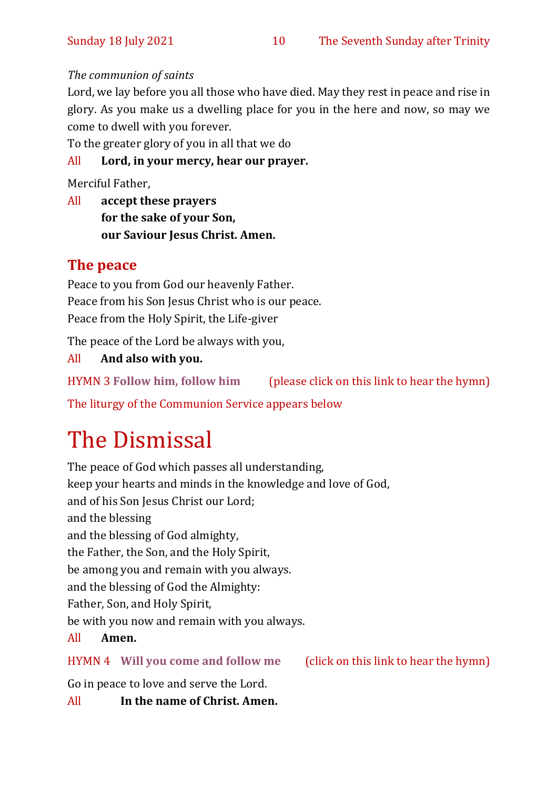#### *The communion of saints*

Lord, we lay before you all those who have died. May they rest in peace and rise in glory. As you make us a dwelling place for you in the here and now, so may we come to dwell with you forever.

To the greater glory of you in all that we do

All **Lord, in your mercy, hear our prayer.**

Merciful Father,

All **accept these prayers for the sake of your Son, our Saviour Jesus Christ. Amen.**

#### **The peace**

Peace to you from God our heavenly Father. Peace from his Son Jesus Christ who is our peace. Peace from the Holy Spirit, the Life-giver

The peace of the Lord be always with you,

All **And also with you.**

HYMN 3 **[Follow him, follow him](https://www.youtube.com/watch?v=nB9tJGdIMwQ)** (please click on this link to hear the hymn)

The liturgy of the Communion Service appears below

# The Dismissal

The peace of God which passes all understanding, keep your hearts and minds in the knowledge and love of God, and of his Son Jesus Christ our Lord; and the blessing and the blessing of God almighty, the Father, the Son, and the Holy Spirit, be among you and remain with you always. and the blessing of God the Almighty: Father, Son, and Holy Spirit, be with you now and remain with you always. All **Amen.**

#### HYMN 4 **[Will you come and follow me](https://www.youtube.com/watch?v=eAYM8pWCwWk)** (click on this link to hear the hymn)

Go in peace to love and serve the Lord.

All **In the name of Christ. Amen.**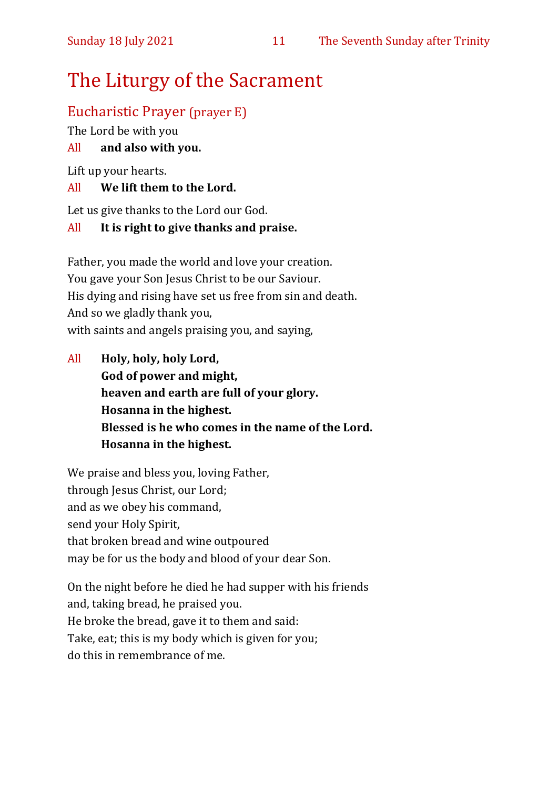## The Liturgy of the Sacrament

#### Eucharistic Prayer (prayer E)

The Lord be with you

#### All **and also with you.**

Lift up your hearts.

#### All **We lift them to the Lord.**

Let us give thanks to the Lord our God.

#### All **It is right to give thanks and praise.**

Father, you made the world and love your creation. You gave your Son Jesus Christ to be our Saviour. His dying and rising have set us free from sin and death. And so we gladly thank you, with saints and angels praising you, and saying,

All **Holy, holy, holy Lord, God of power and might, heaven and earth are full of your glory. Hosanna in the highest. Blessed is he who comes in the name of the Lord. Hosanna in the highest.**

We praise and bless you, loving Father, through Jesus Christ, our Lord; and as we obey his command, send your Holy Spirit, that broken bread and wine outpoured may be for us the body and blood of your dear Son.

On the night before he died he had supper with his friends and, taking bread, he praised you. He broke the bread, gave it to them and said: Take, eat; this is my body which is given for you; do this in remembrance of me.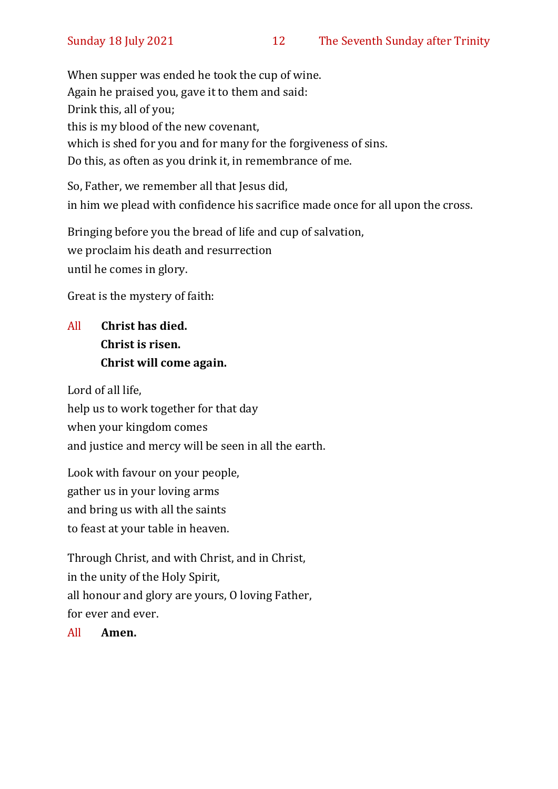When supper was ended he took the cup of wine. Again he praised you, gave it to them and said: Drink this, all of you; this is my blood of the new covenant, which is shed for you and for many for the forgiveness of sins. Do this, as often as you drink it, in remembrance of me.

So, Father, we remember all that Jesus did, in him we plead with confidence his sacrifice made once for all upon the cross.

Bringing before you the bread of life and cup of salvation, we proclaim his death and resurrection until he comes in glory.

Great is the mystery of faith:

#### All **Christ has died. Christ is risen. Christ will come again.**

Lord of all life, help us to work together for that day when your kingdom comes and justice and mercy will be seen in all the earth.

Look with favour on your people, gather us in your loving arms and bring us with all the saints to feast at your table in heaven.

Through Christ, and with Christ, and in Christ, in the unity of the Holy Spirit, all honour and glory are yours, O loving Father, for ever and ever.

All **Amen.**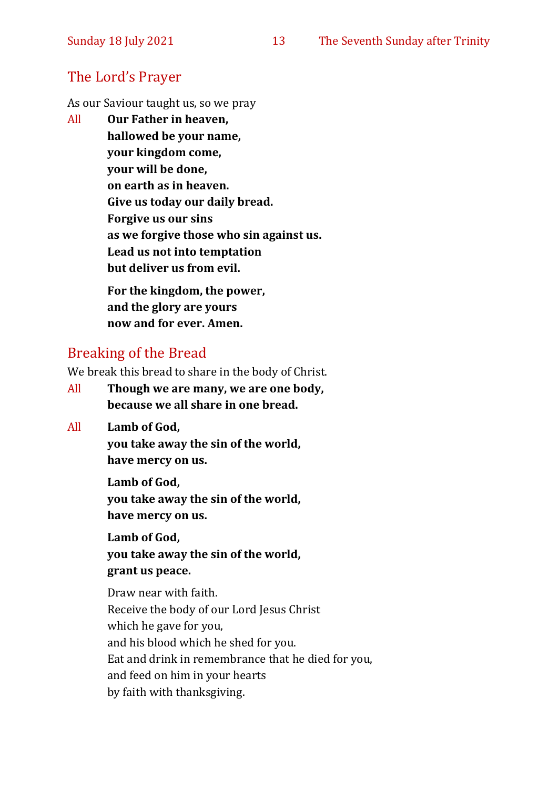#### The Lord's Prayer

As our Saviour taught us, so we pray

All **Our Father in heaven, hallowed be your name, your kingdom come, your will be done, on earth as in heaven. Give us today our daily bread. Forgive us our sins as we forgive those who sin against us. Lead us not into temptation but deliver us from evil. For the kingdom, the power,** 

**and the glory are yours now and for ever. Amen.**

#### Breaking of the Bread

We break this bread to share in the body of Christ.

- All **Though we are many, we are one body, because we all share in one bread.**
- All **Lamb of God,**

**you take away the sin of the world, have mercy on us.**

**Lamb of God, you take away the sin of the world, have mercy on us.**

**Lamb of God, you take away the sin of the world, grant us peace.**

Draw near with faith. Receive the body of our Lord Jesus Christ which he gave for you, and his blood which he shed for you. Eat and drink in remembrance that he died for you, and feed on him in your hearts by faith with thanksgiving.